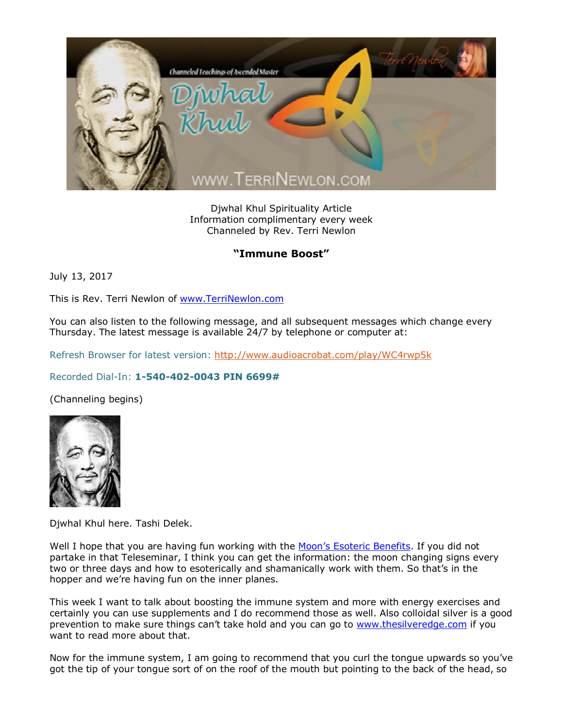

Djwhal Khul Spirituality Article Information complimentary every week Channeled by Rev. Terri Newlon

## **"Immune Boost"**

July 13, 2017

This is Rev. Terri Newlon of [www.TerriNewlon.com](http://www.terrinewlon.com/)

You can also listen to the following message, and all subsequent messages which change every Thursday. The latest message is available 24/7 by telephone or computer at:

Refresh Browser for latest version: <http://www.audioacrobat.com/play/WC4rwp5k>

## Recorded Dial-In: **1-540-402-0043 PIN 6699#**

(Channeling begins)



Djwhal Khul here. Tashi Delek.

Well I hope that you are having fun working with the Moon'[s Esoteric Benefits.](http://www.terrinewlon.com/audio_downloads.php) If you did not partake in that Teleseminar, I think you can get the information: the moon changing signs every two or three days and how to esoterically and shamanically work with them. So that's in the hopper and we're having fun on the inner planes.

This week I want to talk about boosting the immune system and more with energy exercises and certainly you can use supplements and I do recommend those as well. Also colloidal silver is a good prevention to make sure things can't take hold and you can go to [www.thesilveredge.com](http://www.thesilveredge.com/) if you want to read more about that.

Now for the immune system, I am going to recommend that you curl the tongue upwards so you've got the tip of your tongue sort of on the roof of the mouth but pointing to the back of the head, so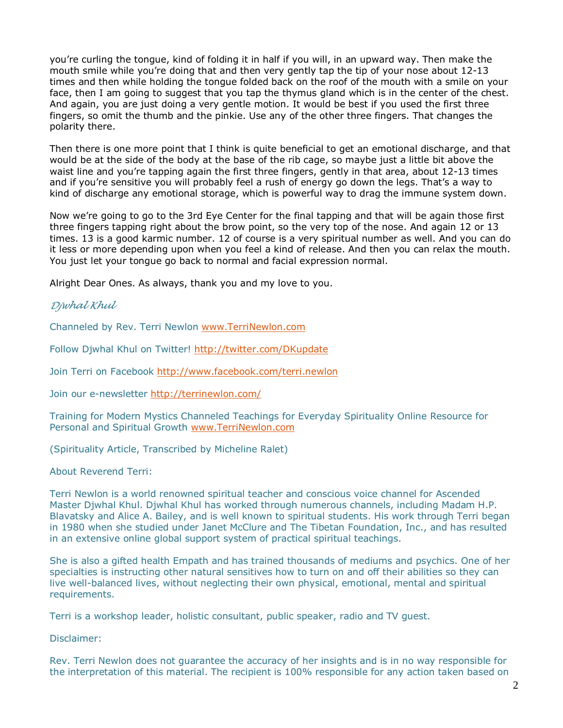you're curling the tongue, kind of folding it in half if you will, in an upward way. Then make the mouth smile while you're doing that and then very gently tap the tip of your nose about 12-13 times and then while holding the tongue folded back on the roof of the mouth with a smile on your face, then I am going to suggest that you tap the thymus gland which is in the center of the chest. And again, you are just doing a very gentle motion. It would be best if you used the first three fingers, so omit the thumb and the pinkie. Use any of the other three fingers. That changes the polarity there.

Then there is one more point that I think is quite beneficial to get an emotional discharge, and that would be at the side of the body at the base of the rib cage, so maybe just a little bit above the waist line and you're tapping again the first three fingers, gently in that area, about 12-13 times and if you're sensitive you will probably feel a rush of energy go down the legs. That's a way to kind of discharge any emotional storage, which is powerful way to drag the immune system down.

Now we're going to go to the 3rd Eye Center for the final tapping and that will be again those first three fingers tapping right about the brow point, so the very top of the nose. And again 12 or 13 times. 13 is a good karmic number. 12 of course is a very spiritual number as well. And you can do it less or more depending upon when you feel a kind of release. And then you can relax the mouth. You just let your tongue go back to normal and facial expression normal.

Alright Dear Ones. As always, thank you and my love to you.

## *Djwhal Khul*

Channeled by Rev. Terri Newlon [www.TerriNewlon.com](http://www.terrinewlon.com/)

Follow Djwhal Khul on Twitter! <http://twitter.com/DKupdate>

Join Terri on Facebook <http://www.facebook.com/terri.newlon>

Join our e-newsletter<http://terrinewlon.com/>

Training for Modern Mystics Channeled Teachings for Everyday Spirituality Online Resource for Personal and Spiritual Growth [www.TerriNewlon.com](http://www.terrinewlon.com/)

(Spirituality Article, Transcribed by Micheline Ralet)

About Reverend Terri:

Terri Newlon is a world renowned spiritual teacher and conscious voice channel for Ascended Master Djwhal Khul. Djwhal Khul has worked through numerous channels, including Madam H.P. Blavatsky and Alice A. Bailey, and is well known to spiritual students. His work through Terri began in 1980 when she studied under Janet McClure and The Tibetan Foundation, Inc., and has resulted in an extensive online global support system of practical spiritual teachings.

She is also a gifted health Empath and has trained thousands of mediums and psychics. One of her specialties is instructing other natural sensitives how to turn on and off their abilities so they can live well-balanced lives, without neglecting their own physical, emotional, mental and spiritual requirements.

Terri is a workshop leader, holistic consultant, public speaker, radio and TV guest.

Disclaimer:

Rev. Terri Newlon does not guarantee the accuracy of her insights and is in no way responsible for the interpretation of this material. The recipient is 100% responsible for any action taken based on